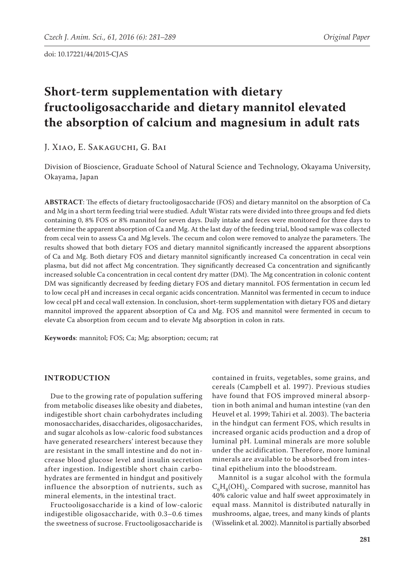# **Short-term supplementation with dietary fructooligosaccharide and dietary mannitol elevated the absorption of calcium and magnesium in adult rats**

J. Xiao, E. Sakaguchi, G. Bai

Division of Bioscience, Graduate School of Natural Science and Technology, Okayama University, Okayama, Japan

**ABSTRACT**: The effects of dietary fructooligosaccharide (FOS) and dietary mannitol on the absorption of Ca and Mg in a short term feeding trial were studied. Adult Wistar rats were divided into three groups and fed diets containing 0, 8% FOS or 8% mannitol for seven days. Daily intake and feces were monitored for three days to determine the apparent absorption of Ca and Mg. At the last day of the feeding trial, blood sample was collected from cecal vein to assess Ca and Mg levels. The cecum and colon were removed to analyze the parameters. The results showed that both dietary FOS and dietary mannitol significantly increased the apparent absorptions of Ca and Mg. Both dietary FOS and dietary mannitol significantly increased Ca concentration in cecal vein plasma, but did not affect Mg concentration. They significantly decreased Ca concentration and significantly increased soluble Ca concentration in cecal content dry matter (DM). The Mg concentration in colonic content DM was significantly decreased by feeding dietary FOS and dietary mannitol. FOS fermentation in cecum led to low cecal pH and increases in cecal organic acids concentration. Mannitol was fermented in cecum to induce low cecal pH and cecal wall extension. In conclusion, short-term supplementation with dietary FOS and dietary mannitol improved the apparent absorption of Ca and Mg. FOS and mannitol were fermented in cecum to elevate Ca absorption from cecum and to elevate Mg absorption in colon in rats.

**Keywords**: mannitol; FOS; Ca; Mg; absorption; cecum; rat

# **INTRODUCTION**

Due to the growing rate of population suffering from metabolic diseases like obesity and diabetes, indigestible short chain carbohydrates including monosaccharides, disaccharides, oligosaccharides, and sugar alcohols as low-caloric food substances have generated researchers' interest because they are resistant in the small intestine and do not increase blood glucose level and insulin secretion after ingestion. Indigestible short chain carbohydrates are fermented in hindgut and positively influence the absorption of nutrients, such as mineral elements, in the intestinal tract.

Fructooligosaccharide is a kind of low-caloric indigestible oligosaccharide, with 0.3–0.6 times the sweetness of sucrose. Fructooligosaccharide is

contained in fruits, vegetables, some grains, and cereals (Campbell et al. 1997). Previous studies have found that FOS improved mineral absorption in both animal and human intestine (van den Heuvel et al. 1999; Tahiri et al. 2003). The bacteria in the hindgut can ferment FOS, which results in increased organic acids production and a drop of luminal pH. Luminal minerals are more soluble under the acidification. Therefore, more luminal minerals are available to be absorbed from intestinal epithelium into the bloodstream.

Mannitol is a sugar alcohol with the formula  $C_6H_8(OH)_6$ . Compared with sucrose, mannitol has 40% caloric value and half sweet approximately in equal mass. Mannitol is distributed naturally in mushrooms, algae, trees, and many kinds of plants (Wisselink et al. 2002). Mannitol is partially absorbed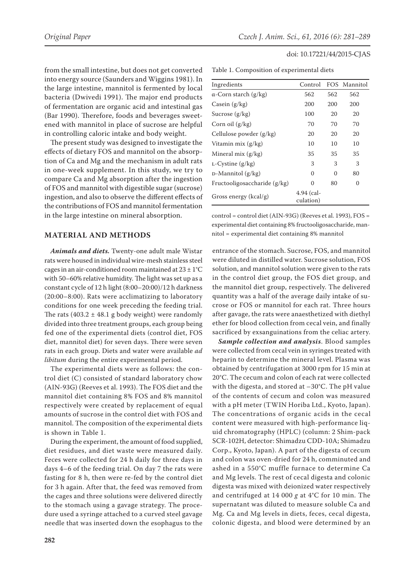from the small intestine, but does not get converted into energy source (Saunders and Wiggins 1981). In the large intestine, mannitol is fermented by local bacteria (Dwivedi 1991). The major end products of fermentation are organic acid and intestinal gas (Bar 1990). Therefore, foods and beverages sweetened with mannitol in place of sucrose are helpful in controlling caloric intake and body weight.

The present study was designed to investigate the effects of dietary FOS and mannitol on the absorption of Ca and Mg and the mechanism in adult rats in one-week supplement. In this study, we try to compare Ca and Mg absorption after the ingestion of FOS and mannitol with digestible sugar (sucrose) ingestion, and also to observe the different effects of the contributions of FOS and mannitol fermentation in the large intestine on mineral absorption.

### **MATERIAL AND METHODS**

*Animals and diets.* Twenty-one adult male Wistar rats were housed in individual wire-mesh stainless steel cages in an air-conditioned room maintained at  $23 \pm 1^{\circ}$ C with 50–60% relative humidity. The light was set up as a constant cycle of 12 h light (8:00–20:00)/12 h darkness (20:00–8:00). Rats were acclimatizing to laboratory conditions for one week preceding the feeding trial. The rats  $(403.2 \pm 48.1 \text{ g}$  body weight) were randomly divided into three treatment groups, each group being fed one of the experimental diets (control diet, FOS diet, mannitol diet) for seven days. There were seven rats in each group. Diets and water were available *ad libitum* during the entire experimental period.

The experimental diets were as follows: the control diet (C) consisted of standard laboratory chow (AIN-93G) (Reeves et al. 1993). The FOS diet and the mannitol diet containing 8% FOS and 8% mannitol respectively were created by replacement of equal amounts of sucrose in the control diet with FOS and mannitol. The composition of the experimental diets is shown in Table 1.

During the experiment, the amount of food supplied, diet residues, and diet waste were measured daily. Feces were collected for 24 h daily for three days in days 4–6 of the feeding trial. On day 7 the rats were fasting for 8 h, then were re-fed by the control diet for 3 h again. After that, the feed was removed from the cages and three solutions were delivered directly to the stomach using a gavage strategy. The procedure used a syringe attached to a curved steel gavage needle that was inserted down the esophagus to the

Table 1. Composition of experimental diets

| Ingredients                  | Control                   |          | FOS Mannitol |
|------------------------------|---------------------------|----------|--------------|
| $\alpha$ -Corn starch (g/kg) | 562                       | 562      | 562          |
| Casein $(g/kg)$              | 200                       | 200      | 200          |
| Sucrose $(g/kg)$             | 100                       | 20       | 20           |
| Corn oil $(g/kg)$            | 70                        | 70       | 70           |
| Cellulose powder (g/kg)      | 20                        | 20       | 20           |
| Vitamin mix (g/kg)           | 10                        | 10       | 10           |
| Mineral mix $(g/kg)$         | 35                        | 35       | 35           |
| $L$ -Cystine $(g/kg)$        | 3                         | 3        | 3            |
| $p$ -Mannitol (g/kg)         | $\Omega$                  | $\theta$ | 80           |
| Fructooligosaccharide (g/kg) | $\Omega$                  | 80       | $\Omega$     |
| Gross energy ( $kcal/g$ )    | $4.94$ (cal-<br>culation) |          |              |

control = control diet (AIN-93G) (Reeves et al. 1993), FOS = experimental diet containing 8% fructooligosaccharide, mannitol = experimental diet containing 8% mannitol

entrance of the stomach. Sucrose, FOS, and mannitol were diluted in distilled water. Sucrose solution, FOS solution, and mannitol solution were given to the rats in the control diet group, the FOS diet group, and the mannitol diet group, respectively. The delivered quantity was a half of the average daily intake of sucrose or FOS or mannitol for each rat. Three hours after gavage, the rats were anaesthetized with diethyl ether for blood collection from cecal vein, and finally sacrificed by exsanguinations from the celiac artery.

*Sample collection and analysis*. Blood samples were collected from cecal vein in syringes treated with heparin to determine the mineral level. Plasma was obtained by centrifugation at 3000 rpm for 15 min at 20°C. The cecum and colon of each rat were collected with the digesta, and stored at –30°C. The pH value of the contents of cecum and colon was measured with a pH meter (TWIN Horiba Ltd., Kyoto, Japan). The concentrations of organic acids in the cecal content were measured with high-performance liquid chromatography (HPLC) (column: 2 Shim-pack SCR-102H, detector: Shimadzu CDD-10A; Shimadzu Corp., Kyoto, Japan). A part of the digesta of cecum and colon was oven-dried for 24 h, comminuted and ashed in a 550°C muffle furnace to determine Ca and Mg levels. The rest of cecal digesta and colonic digesta was mixed with deionized water respectively and centrifuged at 14 000 *g* at 4°C for 10 min. The supernatant was diluted to measure soluble Ca and Mg. Ca and Mg levels in diets, feces, cecal digesta, colonic digesta, and blood were determined by an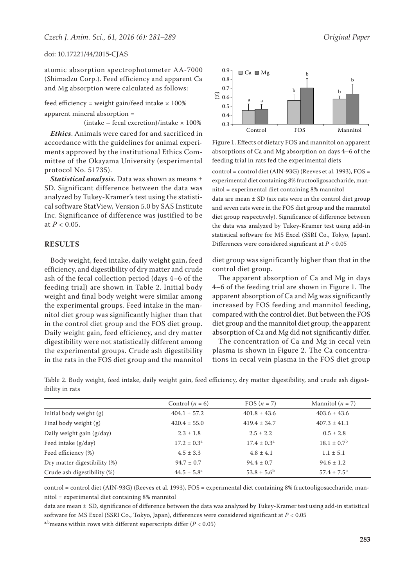atomic absorption spectrophotometer AA-7000 (Shimadzu Corp.). Feed efficiency and apparent Ca and Mg absorption were calculated as follows:

feed efficiency = weight gain/feed intake  $\times$  100% apparent mineral absorption =

(intake – fecal excretion)/intake  $\times$  100%

*Ethics*. Animals were cared for and sacrificed in accordance with the guidelines for animal experiments approved by the institutional Ethics Committee of the Okayama University (experimental protocol No. 51735).

*Statistical analysis*. Data was shown as means ± SD. Significant difference between the data was analyzed by Tukey-Kramer's test using the statistical software StatView, Version 5.0 by SAS Institute Inc. Significance of difference was justified to be at *P* < 0.05.

## **RESULTS**

Body weight, feed intake, daily weight gain, feed efficiency, and digestibility of dry matter and crude ash of the fecal collection period (days 4–6 of the feeding trial) are shown in Table 2. Initial body weight and final body weight were similar among the experimental groups. Feed intake in the mannitol diet group was significantly higher than that in the control diet group and the FOS diet group. Daily weight gain, feed efficiency, and dry matter digestibility were not statistically different among the experimental groups. Crude ash digestibility in the rats in the FOS diet group and the mannitol



Figure 1. Effects of dietary FOS and mannitol on apparent absorptions of Ca and Mg absorption on days 4–6 of the feeding trial in rats fed the experimental diets

control = control diet (AIN-93G) (Reeves et al. 1993), FOS = experimental diet containing 8% fructooligosaccharide, mannitol = experimental diet containing 8% mannitol

data are mean  $\pm$  SD (six rats were in the control diet group and seven rats were in the FOS diet group and the mannitol diet group respectively). Significance of difference between the data was analyzed by Tukey-Kramer test using add-in statistical software for MS Excel (SSRI Co., Tokyo, Japan). Differences were considered significant at *P* < 0.05

diet group was significantly higher than that in the control diet group.

The apparent absorption of Ca and Mg in days 4–6 of the feeding trial are shown in Figure 1. The apparent absorption of Ca and Mg was significantly increased by FOS feeding and mannitol feeding, compared with the control diet. But between the FOS diet group and the mannitol diet group, the apparent absorption of Ca and Mg did not significantly differ.

The concentration of Ca and Mg in cecal vein plasma is shown in Figure 2. The Ca concentrations in cecal vein plasma in the FOS diet group

|                              | Control $(n = 6)$      | FOS $(n = 7)$          | Mannitol $(n = 7)$     |
|------------------------------|------------------------|------------------------|------------------------|
| Initial body weight (g)      | $404.1 \pm 57.2$       | $401.8 \pm 43.6$       | $403.6 \pm 43.6$       |
| Final body weight (g)        | $420.4 \pm 55.0$       | $419.4 \pm 34.7$       | $407.3 \pm 41.1$       |
| Daily weight gain (g/day)    | $2.3 \pm 1.8$          | $2.5 \pm 2.2$          | $0.5 \pm 2.8$          |
| Feed intake (g/day)          | $17.2 \pm 0.3^{\circ}$ | $17.4 \pm 0.3^{\circ}$ | $18.1 \pm 0.7^{\rm b}$ |
| Feed efficiency (%)          | $4.5 \pm 3.3$          | $4.8 \pm 4.1$          | $1.1 \pm 5.1$          |
| Dry matter digestibility (%) | $94.7 \pm 0.7$         | $94.4 \pm 0.7$         | $94.6 \pm 1.2$         |
| Crude ash digestibility (%)  | $44.5 \pm 5.8^{\circ}$ | $53.8 \pm 5.6^{\rm b}$ | $57.4 \pm 7.5^{\rm b}$ |

Table 2. Body weight, feed intake, daily weight gain, feed efficiency, dry matter digestibility, and crude ash digestibility in rats

control = control diet (AIN-93G) (Reeves et al. 1993), FOS = experimental diet containing 8% fructooligosaccharide, mannitol = experimental diet containing 8% mannitol

data are mean ± SD, significance of difference between the data was analyzed by Tukey-Kramer test using add-in statistical software for MS Excel (SSRI Co., Tokyo, Japan), differences were considered significant at *P* < 0.05

a,b<sub>means</sub> within rows with different superscripts differ ( $P < 0.05$ )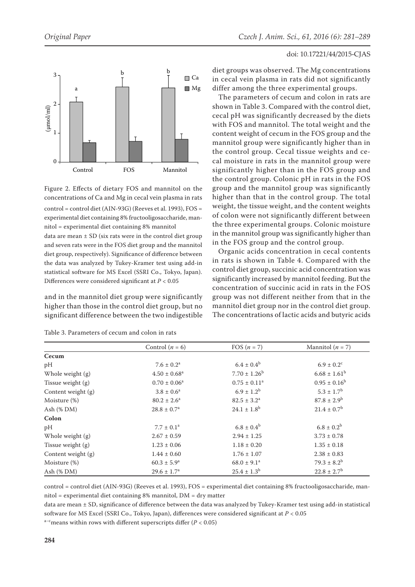

Figure 2. Effects of dietary FOS and mannitol on the concentrations of Ca and Mg in cecal vein plasma in rats control = control diet (AIN-93G) (Reeves et al. 1993), FOS = experimental diet containing 8% fructooligosaccharide, mannitol = experimental diet containing 8% mannitol

data are mean  $\pm$  SD (six rats were in the control diet group and seven rats were in the FOS diet group and the mannitol diet group, respectively). Significance of difference between the data was analyzed by Tukey-Kramer test using add-in statistical software for MS Excel (SSRI Co., Tokyo, Japan). Differences were considered significant at *P* < 0.05

and in the mannitol diet group were significantly higher than those in the control diet group, but no significant difference between the two indigestible diet groups was observed. The Mg concentrations in cecal vein plasma in rats did not significantly differ among the three experimental groups.

The parameters of cecum and colon in rats are shown in Table 3. Compared with the control diet, cecal pH was significantly decreased by the diets with FOS and mannitol. The total weight and the content weight of cecum in the FOS group and the mannitol group were significantly higher than in the control group. Cecal tissue weights and cecal moisture in rats in the mannitol group were significantly higher than in the FOS group and the control group. Colonic pH in rats in the FOS group and the mannitol group was significantly higher than that in the control group. The total weight, the tissue weight, and the content weights of colon were not significantly different between the three experimental groups. Colonic moisture in the mannitol group was significantly higher than in the FOS group and the control group.

Organic acids concentration in cecal contents in rats is shown in Table 4. Compared with the control diet group, succinic acid concentration was significantly increased by mannitol feeding. But the concentration of succinic acid in rats in the FOS group was not different neither from that in the mannitol diet group nor in the control diet group. The concentrations of lactic acids and butyric acids

|                     | Control $(n = 6)$        | FOS $(n = 7)$     | Mannitol $(n = 7)$          |
|---------------------|--------------------------|-------------------|-----------------------------|
| Cecum               |                          |                   |                             |
| pН                  | $7.6 \pm 0.2^{\text{a}}$ | $6.4 \pm 0.4^b$   | $6.9 \pm 0.2$ <sup>c</sup>  |
| Whole weight (g)    | $4.50 \pm 0.68^a$        | $7.70 \pm 1.26^b$ | $6.68 \pm 1.61^b$           |
| Tissue weight $(g)$ | $0.70 \pm 0.06^a$        | $0.75 \pm 0.11^a$ | $0.95 \pm 0.16^b$           |
| Content weight (g)  | $3.8 \pm 0.6^a$          | $6.9 \pm 1.2^b$   | $5.3 \pm 1.7^{\rm b}$       |
| Moisture (%)        | $80.2 \pm 2.6^a$         | $82.5 \pm 3.2^a$  | $87.8 \pm 2.9^{\rm b}$      |
| Ash $(\% DM)$       | $28.8 \pm 0.7^{\rm a}$   | $24.1 \pm 1.8^b$  | $21.4 \pm 0.7$ <sup>b</sup> |
| Colon               |                          |                   |                             |
| pH                  | $7.7 \pm 0.1^a$          | $6.8 \pm 0.4^b$   | $6.8 \pm 0.2^b$             |
| Whole weight (g)    | $2.67 \pm 0.59$          | $2.94 \pm 1.25$   | $3.73 \pm 0.78$             |
| Tissue weight (g)   | $1.23 \pm 0.06$          | $1.18 \pm 0.20$   | $1.35 \pm 0.18$             |
| Content weight (g)  | $1.44 \pm 0.60$          | $1.76 \pm 1.07$   | $2.38 \pm 0.83$             |
| Moisture $(\%)$     | $60.3 \pm 5.9^{\rm a}$   | $68.0 \pm 9.1^a$  | $79.3 \pm 8.2^b$            |
| Ash $(\% DM)$       | $29.6 \pm 1.7^a$         | $25.4 \pm 1.3^b$  | $22.8 \pm 2.7^{\rm b}$      |

Table 3. Parameters of cecum and colon in rats

control = control diet (AIN-93G) (Reeves et al. 1993), FOS = experimental diet containing 8% fructooligosaccharide, mannitol = experimental diet containing 8% mannitol, DM = dry matter

data are mean ± SD, significance of difference between the data was analyzed by Tukey-Kramer test using add-in statistical software for MS Excel (SSRI Co., Tokyo, Japan), differences were considered significant at *P* < 0.05

a<sup>-c</sup>means within rows with different superscripts differ ( $P < 0.05$ )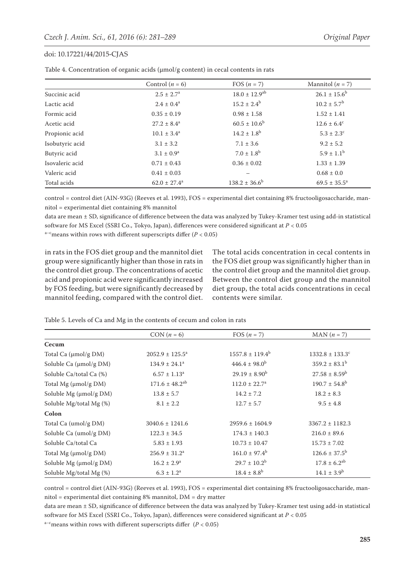|                 | Control $(n = 6)$     | FOS $(n = 7)$                 | Mannitol $(n = 7)$      |
|-----------------|-----------------------|-------------------------------|-------------------------|
| Succinic acid   | $2.5 \pm 2.7^{\rm a}$ | $18.0 \pm 12.9$ <sup>ab</sup> | $26.1 \pm 15.6^b$       |
| Lactic acid     | $2.4 \pm 0.4^a$       | $15.2 \pm 2.4^{\rm b}$        | $10.2 \pm 5.7^{\rm b}$  |
| Formic acid     | $0.35 \pm 0.19$       | $0.98 \pm 1.58$               | $1.52 \pm 1.41$         |
| Acetic acid     | $27.2 \pm 8.4^a$      | $60.5 \pm 10.6^{\rm b}$       | $12.6 \pm 6.4^c$        |
| Propionic acid  | $10.1 \pm 3.4^a$      | $14.2 \pm 1.8$ <sup>b</sup>   | $5.3 \pm 2.3^c$         |
| Isobutyric acid | $3.1 \pm 3.2$         | $7.1 \pm 3.6$                 | $9.2 \pm 5.2$           |
| Butyric acid    | $3.1 \pm 0.9^a$       | $7.0 \pm 1.8^{\rm b}$         | $5.9 \pm 1.1^{\rm b}$   |
| Isovaleric acid | $0.71 \pm 0.43$       | $0.36 \pm 0.02$               | $1.33 \pm 1.39$         |
| Valeric acid    | $0.41 \pm 0.03$       |                               | $0.68 \pm 0.0$          |
| Total acids     | $62.0 \pm 27.4^a$     | $138.2 \pm 36.6^b$            | $69.5 \pm 35.5^{\circ}$ |

| Table 4. Concentration of organic acids (µmol/g content) in cecal contents in rats |  |
|------------------------------------------------------------------------------------|--|
|------------------------------------------------------------------------------------|--|

control = control diet (AIN-93G) (Reeves et al. 1993), FOS = experimental diet containing 8% fructooligosaccharide, mannitol = experimental diet containing 8% mannitol

data are mean ± SD, significance of difference between the data was analyzed by Tukey-Kramer test using add-in statistical software for MS Excel (SSRI Co., Tokyo, Japan), differences were considered significant at *P* < 0.05

<sup>a-c</sup>means within rows with different superscripts differ  $(P < 0.05)$ 

in rats in the FOS diet group and the mannitol diet group were significantly higher than those in rats in the control diet group. The concentrations of acetic acid and propionic acid were significantly increased by FOS feeding, but were significantly decreased by mannitol feeding, compared with the control diet.

The total acids concentration in cecal contents in the FOS diet group was significantly higher than in the control diet group and the mannitol diet group. Between the control diet group and the mannitol diet group, the total acids concentrations in cecal contents were similar.

Table 5. Levels of Ca and Mg in the contents of cecum and colon in rats

|                         | $CON(n = 6)$          | FOS $(n = 7)$            | $MAN(n=7)$                    |
|-------------------------|-----------------------|--------------------------|-------------------------------|
| <b>Cecum</b>            |                       |                          |                               |
| Total Ca (µmol/g DM)    | $2052.9 \pm 125.5^a$  | $1557.8 \pm 119.4^b$     | $1332.8 \pm 133.3^c$          |
| Soluble Ca (µmol/g DM)  | $134.9 \pm 24.1^a$    | $446.4 \pm 98.0^{\rm b}$ | $359.2 \pm 83.1^b$            |
| Soluble Ca/total Ca (%) | $6.57 \pm 1.13^a$     | $29.19 \pm 8.90^{\rm b}$ | $27.58 \pm 8.59^{\rm b}$      |
| Total Mg (µmol/g DM)    | $171.6 \pm 48.2^{ab}$ | $112.0 \pm 22.7^{\circ}$ | $190.7 \pm 54.8$ <sup>b</sup> |
| Soluble Mg (µmol/g DM)  | $13.8 \pm 5.7$        | $14.2 \pm 7.2$           | $18.2 \pm 8.3$                |
| Soluble Mg/total Mg (%) | $8.1 \pm 2.2$         | $12.7 \pm 5.7$           | $9.5 \pm 4.8$                 |
| Colon                   |                       |                          |                               |
| Total Ca (umol/g DM)    | $3040.6 \pm 1241.6$   | $2959.6 \pm 1604.9$      | $3367.2 \pm 1182.3$           |
| Soluble Ca (umol/g DM)  | $122.3 \pm 34.5$      | $174.3 \pm 140.3$        | $216.0 \pm 89.6$              |
| Soluble Ca/total Ca     | $5.83 \pm 1.93$       | $10.73 \pm 10.47$        | $15.73 \pm 7.02$              |
| Total Mg (µmol/g DM)    | $256.9 \pm 31.2^a$    | $161.0 \pm 97.4^b$       | $126.6 \pm 37.5^{\rm b}$      |
| Soluble Mg (µmol/g DM)  | $16.2 \pm 2.9^a$      | $29.7 \pm 10.2^b$        | $17.8 \pm 6.2^{ab}$           |
| Soluble Mg/total Mg (%) | $6.3 \pm 1.2^a$       | $18.4 \pm 8.8^{b}$       | $14.1 \pm 3.9^b$              |

control = control diet (AIN-93G) (Reeves et al. 1993), FOS = experimental diet containing 8% fructooligosaccharide, mannitol = experimental diet containing 8% mannitol, DM = dry matter

data are mean ± SD, significance of difference between the data was analyzed by Tukey-Kramer test using add-in statistical software for MS Excel (SSRI Co., Tokyo, Japan), differences were considered significant at *P* < 0.05

a<sup>-c</sup>means within rows with different superscripts differ  $(P < 0.05)$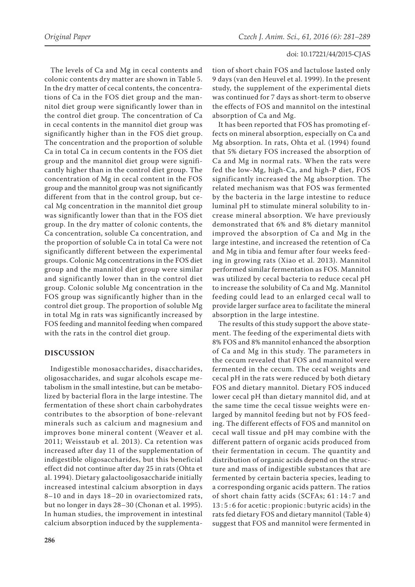The levels of Ca and Mg in cecal contents and colonic contents dry matter are shown in Table 5. In the dry matter of cecal contents, the concentrations of Ca in the FOS diet group and the mannitol diet group were significantly lower than in the control diet group. The concentration of Ca in cecal contents in the mannitol diet group was significantly higher than in the FOS diet group. The concentration and the proportion of soluble Ca in total Ca in cecum contents in the FOS diet group and the mannitol diet group were significantly higher than in the control diet group. The concentration of Mg in cecal content in the FOS group and the mannitol group was not significantly different from that in the control group, but cecal Mg concentration in the mannitol diet group was significantly lower than that in the FOS diet group. In the dry matter of colonic contents, the Ca concentration, soluble Ca concentration, and the proportion of soluble Ca in total Ca were not significantly different between the experimental groups. Colonic Mg concentrations in the FOS diet group and the mannitol diet group were similar and significantly lower than in the control diet group. Colonic soluble Mg concentration in the FOS group was significantly higher than in the control diet group. The proportion of soluble Mg in total Mg in rats was significantly increased by FOS feeding and mannitol feeding when compared with the rats in the control diet group.

# **DISCUSSION**

Indigestible monosaccharides, disaccharides, oligosaccharides, and sugar alcohols escape metabolism in the small intestine, but can be metabolized by bacterial flora in the large intestine. The fermentation of these short chain carbohydrates contributes to the absorption of bone-relevant minerals such as calcium and magnesium and improves bone mineral content (Weaver et al. 2011; Weisstaub et al. 2013). Ca retention was increased after day 11 of the supplementation of indigestible oligosaccharides, but this beneficial effect did not continue after day 25 in rats (Ohta et al. 1994). Dietary galactooligosaccharide initially increased intestinal calcium absorption in days 8–10 and in days 18–20 in ovariectomized rats, but no longer in days 28–30 (Chonan et al. 1995). In human studies, the improvement in intestinal calcium absorption induced by the supplementation of short chain FOS and lactulose lasted only 9 days (van den Heuvel et al. 1999). In the present study, the supplement of the experimental diets was continued for 7 days as short-term to observe the effects of FOS and mannitol on the intestinal absorption of Ca and Mg.

It has been reported that FOS has promoting effects on mineral absorption, especially on Ca and Mg absorption. In rats, Ohta et al. (1994) found that 5% dietary FOS increased the absorption of Ca and Mg in normal rats. When the rats were fed the low-Mg, high-Ca, and high-P diet, FOS significantly increased the Mg absorption. The related mechanism was that FOS was fermented by the bacteria in the large intestine to reduce luminal pH to stimulate mineral solubility to increase mineral absorption. We have previously demonstrated that 6% and 8% dietary mannitol improved the absorption of Ca and Mg in the large intestine, and increased the retention of Ca and Mg in tibia and femur after four weeks feeding in growing rats (Xiao et al. 2013). Mannitol performed similar fermentation as FOS. Mannitol was utilized by cecal bacteria to reduce cecal pH to increase the solubility of Ca and Mg. Mannitol feeding could lead to an enlarged cecal wall to provide larger surface area to facilitate the mineral absorption in the large intestine.

The results of this study support the above statement. The feeding of the experimental diets with 8% FOS and 8% mannitol enhanced the absorption of Ca and Mg in this study. The parameters in the cecum revealed that FOS and mannitol were fermented in the cecum. The cecal weights and cecal pH in the rats were reduced by both dietary FOS and dietary mannitol. Dietary FOS induced lower cecal pH than dietary mannitol did, and at the same time the cecal tissue weights were enlarged by mannitol feeding but not by FOS feeding. The different effects of FOS and mannitol on cecal wall tissue and pH may combine with the different pattern of organic acids produced from their fermentation in cecum. The quantity and distribution of organic acids depend on the structure and mass of indigestible substances that are fermented by certain bacteria species, leading to a corresponding organic acids pattern. The ratios of short chain fatty acids (SCFAs; 61 : 14 : 7 and 13 : 5 : 6 for acetic : propionic : butyric acids) in the rats fed dietary FOS and dietary mannitol (Table 4) suggest that FOS and mannitol were fermented in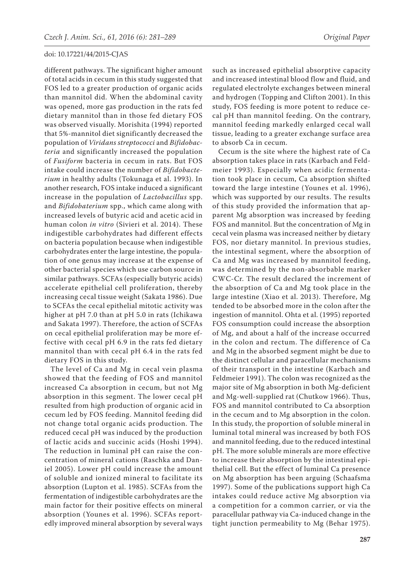different pathways. The significant higher amount of total acids in cecum in this study suggested that FOS led to a greater production of organic acids than mannitol did. When the abdominal cavity was opened, more gas production in the rats fed dietary mannitol than in those fed dietary FOS was observed visually. Morishita (1994) reported that 5%-mannitol diet significantly decreased the population of *Viridans streptococci* and *Bifidobacteria* and significantly increased the population of *Fusiform* bacteria in cecum in rats. But FOS intake could increase the number of *Bifidobacterium* in healthy adults (Tokunaga et al. 1993). In another research, FOS intake induced a significant increase in the population of *Lactobacillus* spp. and *Bifidobaterium* spp., which came along with increased levels of butyric acid and acetic acid in human colon *in vitro* (Sivieri et al. 2014). These indigestible carbohydrates had different effects on bacteria population because when indigestible carbohydrates enter the large intestine, the population of one genus may increase at the expense of other bacterial species which use carbon source in similar pathways. SCFAs (especially butyric acids) accelerate epithelial cell proliferation, thereby increasing cecal tissue weight (Sakata 1986). Due to SCFAs the cecal epithelial mitotic activity was higher at pH 7.0 than at pH 5.0 in rats (Ichikawa and Sakata 1997). Therefore, the action of SCFAs on cecal epithelial proliferation may be more effective with cecal pH 6.9 in the rats fed dietary mannitol than with cecal pH 6.4 in the rats fed dietary FOS in this study.

The level of Ca and Mg in cecal vein plasma showed that the feeding of FOS and mannitol increased Ca absorption in cecum, but not Mg absorption in this segment. The lower cecal pH resulted from high production of organic acid in cecum led by FOS feeding. Mannitol feeding did not change total organic acids production. The reduced cecal pH was induced by the production of lactic acids and succinic acids (Hoshi 1994). The reduction in luminal pH can raise the concentration of mineral cations (Raschka and Daniel 2005). Lower pH could increase the amount of soluble and ionized mineral to facilitate its absorption (Lupton et al. 1985). SCFAs from the fermentation of indigestible carbohydrates are the main factor for their positive effects on mineral absorption (Younes et al. 1996). SCFAs reportedly improved mineral absorption by several ways such as increased epithelial absorptive capacity and increased intestinal blood flow and fluid, and regulated electrolyte exchanges between mineral and hydrogen (Topping and Clifton 2001). In this study, FOS feeding is more potent to reduce cecal pH than mannitol feeding. On the contrary, mannitol feeding markedly enlarged cecal wall tissue, leading to a greater exchange surface area to absorb Ca in cecum.

Cecum is the site where the highest rate of Ca absorption takes place in rats (Karbach and Feldmeier 1993). Especially when acidic fermentation took place in cecum, Ca absorption shifted toward the large intestine (Younes et al. 1996), which was supported by our results. The results of this study provided the information that apparent Mg absorption was increased by feeding FOS and mannitol. But the concentration of Mg in cecal vein plasma was increased neither by dietary FOS, nor dietary mannitol. In previous studies, the intestinal segment, where the absorption of Ca and Mg was increased by mannitol feeding, was determined by the non-absorbable marker CWC-Cr. The result declared the increment of the absorption of Ca and Mg took place in the large intestine (Xiao et al. 2013). Therefore, Mg tended to be absorbed more in the colon after the ingestion of mannitol. Ohta et al. (1995) reported FOS consumption could increase the absorption of Mg, and about a half of the increase occurred in the colon and rectum. The difference of Ca and Mg in the absorbed segment might be due to the distinct cellular and paracellular mechanisms of their transport in the intestine (Karbach and Feldmeier 1991). The colon was recognized as the major site of Mg absorption in both Mg-deficient and Mg-well-supplied rat (Chutkow 1966). Thus, FOS and mannitol contributed to Ca absorption in the cecum and to Mg absorption in the colon. In this study, the proportion of soluble mineral in luminal total mineral was increased by both FOS and mannitol feeding, due to the reduced intestinal pH. The more soluble minerals are more effective to increase their absorption by the intestinal epithelial cell. But the effect of luminal Ca presence on Mg absorption has been arguing (Schaafsma 1997). Some of the publications support high Ca intakes could reduce active Mg absorption via a competition for a common carrier, or via the paracellular pathway via Ca-induced change in the tight junction permeability to Mg (Behar 1975).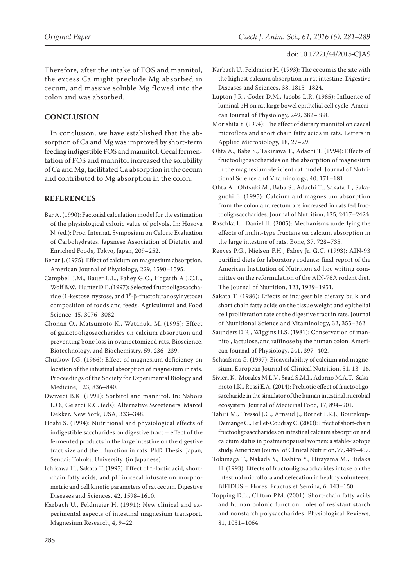Therefore, after the intake of FOS and mannitol, the excess Ca might preclude Mg absorbed in cecum, and massive soluble Mg flowed into the colon and was absorbed.

# **CONCLUSION**

In conclusion, we have established that the absorption of Ca and Mg was improved by short-term feeding indigestible FOS and mannitol. Cecal fermentation of FOS and mannitol increased the solubility of Ca and Mg, facilitated Ca absorption in the cecum and contributed to Mg absorption in the colon.

# **REFERENCES**

- Bar A. (1990): Factorial calculation model for the estimation of the physiological caloric value of polyols. In: Hosoya N. (ed.): Proc. Internat. Symposium on Caloric Evaluation of Carbohydrates. Japanese Association of Dietetic and Enriched Foods, Tokyo, Japan, 209–252.
- Behar J. (1975): Effect of calcium on magnesium absorption. American Journal of Physiology, 229, 1590–1595.
- Campbell J.M., Bauer L.L., Fahey G.C., Hogarth A.J.C.L., Wolf B.W., Hunter D.E. (1997): Selected fructooligosaccharide (1-kestose, nystose, and 1<sup>F</sup>-β-fructofuranosylnystose) composition of foods and feeds. Agricultural and Food Science, 45, 3076–3082.
- Chonan O., Matsumoto K., Watanuki M. (1995): Effect of galactooligosaccharides on calcium absorption and preventing bone loss in ovariectomized rats. Bioscience, Biotechnology, and Biochemistry, 59, 236–239.
- Chutkow J.G. (1966): Effect of magnesium deficiency on location of the intestinal absorption of magnesium in rats. Proceedings of the Society for Experimental Biology and Medicine, 123, 836–840.
- Dwivedi B.K. (1991): Sorbitol and mannitol. In: Nabors L.O., Gelardi R.C. (eds): Alternative Sweeteners. Marcel Dekker, New York, USA, 333–348.
- Hoshi S. (1994): Nutritional and physiological effects of indigestible saccharides on digestive tract – effect of the fermented products in the large intestine on the digestive tract size and their function in rats. PhD Thesis. Japan, Sendai: Tohoku University. (in Japanese)
- Ichikawa H., Sakata T. (1997): Effect of L-lactic acid, shortchain fatty acids, and pH in cecal infusate on morphometric and cell kinetic parameters of rat cecum. Digestive Diseases and Sciences, 42, 1598–1610.
- Karbach U., Feldmeier H. (1991): New clinical and experimental aspects of intestinal magnesium transport. Magnesium Research, 4, 9–22.
- Karbach U., Feldmeier H. (1993): The cecum is the site with the highest calcium absorption in rat intestine. Digestive Diseases and Sciences, 38, 1815–1824.
- Lupton J.R., Coder D.M., Jacobs L.R. (1985): Influence of luminal pH on rat large bowel epithelial cell cycle. American Journal of Physiology, 249, 382–388.
- Morishita Y. (1994): The effect of dietary mannitol on caecal microflora and short chain fatty acids in rats. Letters in Applied Microbiology, 18, 27–29.
- Ohta A., Baba S., Takizawa T., Adachi T. (1994): Effects of fructooligosaccharides on the absorption of magnesium in the magnesium-deficient rat model. Journal of Nutritional Science and Vitaminology, 40, 171–181.
- Ohta A., Ohtsuki M., Baba S., Adachi T., Sakata T., Sakaguchi E. (1995): Calcium and magnesium absorption from the colon and rectum are increased in rats fed fructooligosaccharides. Journal of Nutrition, 125, 2417–2424.
- Raschka L., Daniel H. (2005): Mechanisms underlying the effects of inulin-type fructans on calcium absorption in the large intestine of rats. Bone, 37, 728–735.
- Reeves P.G., Nielsen F.H., Fahey Jr. G.C. (1993): AIN-93 purified diets for laboratory rodents: final report of the American Institution of Nutrition ad hoc writing committee on the reformulation of the AIN-76A rodent diet. The Journal of Nutrition, 123, 1939–1951.
- Sakata T. (1986): Effects of indigestible dietary bulk and short chain fatty acids on the tissue weight and epithelial cell proliferation rate of the digestive tract in rats. Journal of Nutritional Science and Vitaminology, 32, 355–362.
- Saunders D.R., Wiggins H.S. (1981): Conservation of mannitol, lactulose, and raffinose by the human colon. American Journal of Physiology, 241, 397–402.
- Schaafsma G. (1997): Bioavailability of calcium and magnesium. European Journal of Clinical Nutrition, 51, 13–16.
- Sivieri K., Morales M.L.V., Saad S.M.I., Adorno M.A.T., Sakamoto I.K., Rossi E.A. (2014): Prebiotic effect of fructooligosaccharide in the simulator of the human intestinal microbial ecosystem. Journal of Medicinal Food, 17, 894–901.
- Tahiri M., Tressol J.C., Arnaud J., Bornet F.R.J., Bouteloup-Demange C., Feillet-Coudray C. (2003): Effect of short-chain fructooligosaccharides on intestinal calcium absorption and calcium status in postmenopausal women: a stable-isotope study. American Journal of Clinical Nutrition, 77, 449–457.
- Tokunaga T., Nakada Y., Tashiro Y., Hirayama M., Hidaka H. (1993): Effects of fructooligosaccharides intake on the intestinal microflora and defecation in healthy volunteers. BIFIDUS – Flores, Fructus et Semina, 6, 143–150.
- Topping D.L., Clifton P.M. (2001): Short-chain fatty acids and human colonic function: roles of resistant starch and nonstarch polysaccharides. Physiological Reviews, 81, 1031–1064.